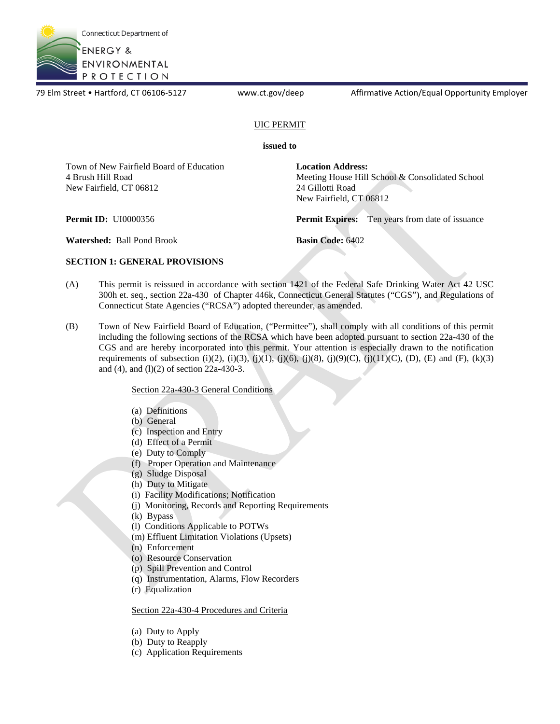

79 Elm Street • Hartford, CT 06106-5127 <www.ct.gov/deep> Affirmative Action/Equal Opportunity Employer

## UIC PERMIT

#### **issued to**

Town of New Fairfield Board of Education 4 Brush Hill Road New Fairfield, CT 06812

**Location Address:**  Meeting House Hill School & Consolidated School 24 Gillotti Road New Fairfield, CT 06812

**Permit ID:** UI0000356 **Permit Expires:** Ten years from date of issuance

**Watershed:** Ball Pond Brook **Basin Code:** 6402

## **SECTION 1: GENERAL PROVISIONS**

- (A) This permit is reissued in accordance with section 1421 of the Federal Safe Drinking Water Act 42 USC 300h et. seq., section 22a-430 of Chapter 446k, Connecticut General Statutes ("CGS"), and Regulations of Connecticut State Agencies ("RCSA") adopted thereunder, as amended.
- (B) Town of New Fairfield Board of Education, ("Permittee"), shall comply with all conditions of this permit including the following sections of the RCSA which have been adopted pursuant to section 22a-430 of the CGS and are hereby incorporated into this permit. Your attention is especially drawn to the notification requirements of subsection (i)(2), (i)(3), (j)(1), (j)(6), (j)(8), (j)(9)(C), (j)(11)(C), (D), (E) and (F), (k)(3) and (4), and (l)(2) of section 22a-430-3.

## Section 22a-430-3 General Conditions

- (a) Definitions
- (b) General
- (c) Inspection and Entry
- (d) Effect of a Permit
- (e) Duty to Comply
- (f) Proper Operation and Maintenance
- (g) Sludge Disposal
- (h) Duty to Mitigate
- (i) Facility Modifications; Notification
- (j) Monitoring, Records and Reporting Requirements
- (k) Bypass
- (l) Conditions Applicable to POTWs
- (m) Effluent Limitation Violations (Upsets)
- (n) Enforcement
- (o) Resource Conservation
- (p) Spill Prevention and Control
- (q) Instrumentation, Alarms, Flow Recorders
- (r) Equalization

#### Section 22a-430-4 Procedures and Criteria

- (a) Duty to Apply
- (b) Duty to Reapply
- (c) Application Requirements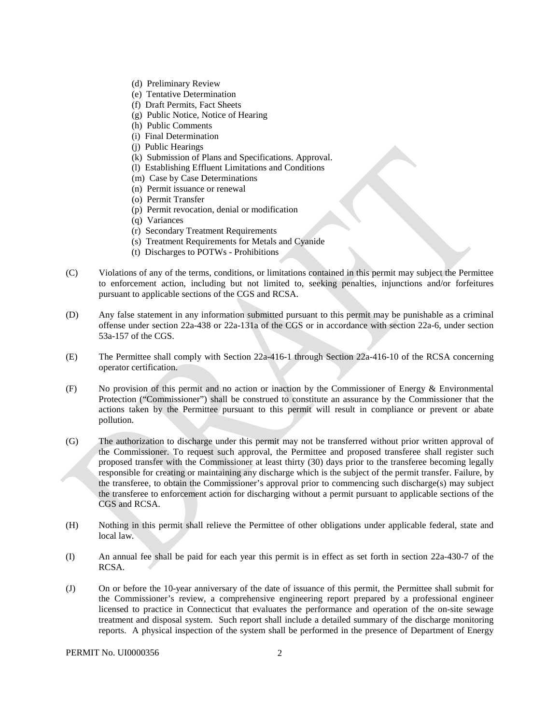- (d) Preliminary Review
- (e) Tentative Determination
- (f) Draft Permits, Fact Sheets
- (g) Public Notice, Notice of Hearing
- (h) Public Comments
- (i) Final Determination
- (j) Public Hearings
- (k) Submission of Plans and Specifications. Approval.
- (l) Establishing Effluent Limitations and Conditions
- (m) Case by Case Determinations
- (n) Permit issuance or renewal
- (o) Permit Transfer
- (p) Permit revocation, denial or modification
- (q) Variances
- (r) Secondary Treatment Requirements
- (s) Treatment Requirements for Metals and Cyanide
- (t) Discharges to POTWs Prohibitions
- (C) Violations of any of the terms, conditions, or limitations contained in this permit may subject the Permittee to enforcement action, including but not limited to, seeking penalties, injunctions and/or forfeitures pursuant to applicable sections of the CGS and RCSA.
- (D) Any false statement in any information submitted pursuant to this permit may be punishable as a criminal offense under section 22a-438 or 22a-131a of the CGS or in accordance with section 22a-6, under section 53a-157 of the CGS.
- (E) The Permittee shall comply with Section 22a-416-1 through Section 22a-416-10 of the RCSA concerning operator certification.
- (F) No provision of this permit and no action or inaction by the Commissioner of Energy & Environmental Protection ("Commissioner") shall be construed to constitute an assurance by the Commissioner that the actions taken by the Permittee pursuant to this permit will result in compliance or prevent or abate pollution.
- (G) The authorization to discharge under this permit may not be transferred without prior written approval of the Commissioner. To request such approval, the Permittee and proposed transferee shall register such proposed transfer with the Commissioner at least thirty (30) days prior to the transferee becoming legally responsible for creating or maintaining any discharge which is the subject of the permit transfer. Failure, by the transferee, to obtain the Commissioner's approval prior to commencing such discharge(s) may subject the transferee to enforcement action for discharging without a permit pursuant to applicable sections of the CGS and RCSA.
- (H) Nothing in this permit shall relieve the Permittee of other obligations under applicable federal, state and local law.
- (I) An annual fee shall be paid for each year this permit is in effect as set forth in section 22a-430-7 of the RCSA.
- $(J)$  treatment and disposal system. Such report shall include a detailed summary of the discharge monitoring (J) On or before the 10-year anniversary of the date of issuance of this permit, the Permittee shall submit for the Commissioner's review, a comprehensive engineering report prepared by a professional engineer licensed to practice in Connecticut that evaluates the performance and operation of the on-site sewage reports. A physical inspection of the system shall be performed in the presence of Department of Energy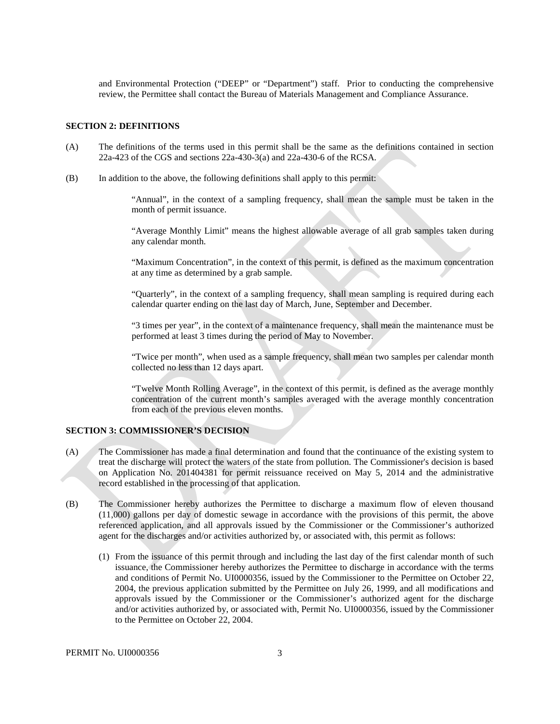and Environmental Protection ("DEEP" or "Department") staff. Prior to conducting the comprehensive review, the Permittee shall contact the Bureau of Materials Management and Compliance Assurance.

#### **SECTION 2: DEFINITIONS**

- (A) The definitions of the terms used in this permit shall be the same as the definitions contained in section 22a-423 of the CGS and sections 22a-430-3(a) and 22a-430-6 of the RCSA.
- (B) In addition to the above, the following definitions shall apply to this permit:

"Annual", in the context of a sampling frequency, shall mean the sample must be taken in the month of permit issuance.

"Average Monthly Limit" means the highest allowable average of all grab samples taken during any calendar month.

"Maximum Concentration", in the context of this permit, is defined as the maximum concentration at any time as determined by a grab sample.

"Quarterly", in the context of a sampling frequency, shall mean sampling is required during each calendar quarter ending on the last day of March, June, September and December.

"3 times per year", in the context of a maintenance frequency, shall mean the maintenance must be performed at least 3 times during the period of May to November.

"Twice per month", when used as a sample frequency, shall mean two samples per calendar month collected no less than 12 days apart.

"Twelve Month Rolling Average", in the context of this permit, is defined as the average monthly concentration of the current month's samples averaged with the average monthly concentration from each of the previous eleven months.

#### **SECTION 3: COMMISSIONER'S DECISION**

- (A) The Commissioner has made a final determination and found that the continuance of the existing system to treat the discharge will protect the waters of the state from pollution. The Commissioner's decision is based on Application No. 201404381 for permit reissuance received on May 5, 2014 and the administrative record established in the processing of that application.
- (B) The Commissioner hereby authorizes the Permittee to discharge a maximum flow of eleven thousand (11,000) gallons per day of domestic sewage in accordance with the provisions of this permit, the above referenced application, and all approvals issued by the Commissioner or the Commissioner's authorized agent for the discharges and/or activities authorized by, or associated with, this permit as follows:
	- (1) From the issuance of this permit through and including the last day of the first calendar month of such issuance, the Commissioner hereby authorizes the Permittee to discharge in accordance with the terms and conditions of Permit No. UI0000356, issued by the Commissioner to the Permittee on October 22, 2004, the previous application submitted by the Permittee on July 26, 1999, and all modifications and approvals issued by the Commissioner or the Commissioner's authorized agent for the discharge and/or activities authorized by, or associated with, Permit No. UI0000356, issued by the Commissioner to the Permittee on October 22, 2004.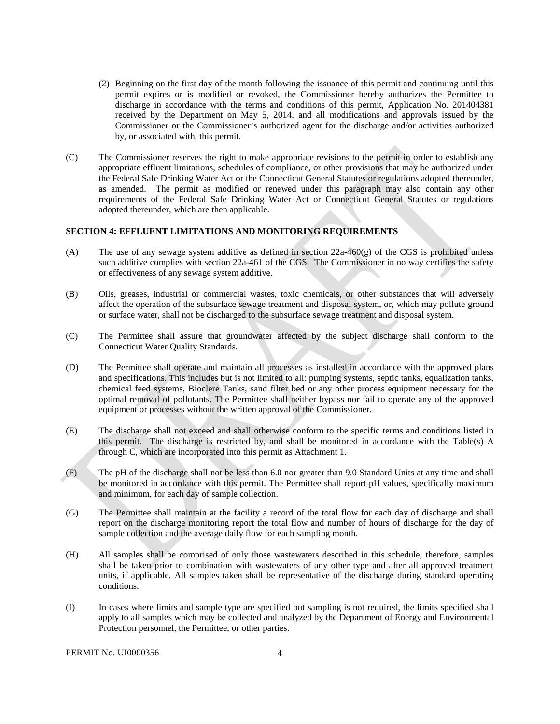- (2) Beginning on the first day of the month following the issuance of this permit and continuing until this received by the Department on May 5, 2014, and all modifications and approvals issued by the permit expires or is modified or revoked, the Commissioner hereby authorizes the Permittee to discharge in accordance with the terms and conditions of this permit, Application No. 201404381 Commissioner or the Commissioner's authorized agent for the discharge and/or activities authorized by, or associated with, this permit.
- (C) The Commissioner reserves the right to make appropriate revisions to the permit in order to establish any appropriate effluent limitations, schedules of compliance, or other provisions that may be authorized under the Federal Safe Drinking Water Act or the Connecticut General Statutes or regulations adopted thereunder, as amended. The permit as modified or renewed under this paragraph may also contain any other requirements of the Federal Safe Drinking Water Act or Connecticut General Statutes or regulations adopted thereunder, which are then applicable.

#### **SECTION 4: EFFLUENT LIMITATIONS AND MONITORING REQUIREMENTS**

- (A) The use of any sewage system additive as defined in section  $22a-460(g)$  of the CGS is prohibited unless such additive complies with section 22a-461 of the CGS. The Commissioner in no way certifies the safety or effectiveness of any sewage system additive.
- (B) Oils, greases, industrial or commercial wastes, toxic chemicals, or other substances that will adversely affect the operation of the subsurface sewage treatment and disposal system, or, which may pollute ground or surface water, shall not be discharged to the subsurface sewage treatment and disposal system.
- (C) The Permittee shall assure that groundwater affected by the subject discharge shall conform to the Connecticut Water Quality Standards.
- (D) The Permittee shall operate and maintain all processes as installed in accordance with the approved plans and specifications. This includes but is not limited to all: pumping systems, septic tanks, equalization tanks, chemical feed systems, Bioclere Tanks, sand filter bed or any other process equipment necessary for the optimal removal of pollutants. The Permittee shall neither bypass nor fail to operate any of the approved equipment or processes without the written approval of the Commissioner.
- (E) The discharge shall not exceed and shall otherwise conform to the specific terms and conditions listed in this permit. The discharge is restricted by, and shall be monitored in accordance with the Table(s) A through C, which are incorporated into this permit as Attachment 1.
- (F) The pH of the discharge shall not be less than 6.0 nor greater than 9.0 Standard Units at any time and shall be monitored in accordance with this permit. The Permittee shall report pH values, specifically maximum and minimum, for each day of sample collection.
- (G) The Permittee shall maintain at the facility a record of the total flow for each day of discharge and shall report on the discharge monitoring report the total flow and number of hours of discharge for the day of sample collection and the average daily flow for each sampling month.
- (H) All samples shall be comprised of only those wastewaters described in this schedule, therefore, samples shall be taken prior to combination with wastewaters of any other type and after all approved treatment units, if applicable. All samples taken shall be representative of the discharge during standard operating conditions.
- apply to all samples which may be collected and analyzed by the Department of Energy and Environmental Protection personnel, the Permittee, or other parties.<br>PERMIT No. UI0000356 4 (I) In cases where limits and sample type are specified but sampling is not required, the limits specified shall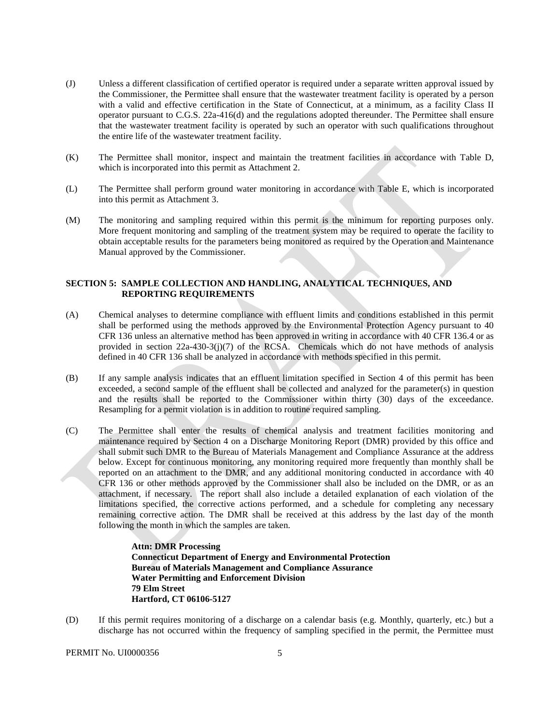- with a valid and effective certification in the State of Connecticut, at a minimum, as a facility Class II (J) Unless a different classification of certified operator is required under a separate written approval issued by the Commissioner, the Permittee shall ensure that the wastewater treatment facility is operated by a person operator pursuant to C.G.S. 22a-416(d) and the regulations adopted thereunder. The Permittee shall ensure that the wastewater treatment facility is operated by such an operator with such qualifications throughout the entire life of the wastewater treatment facility.
- $(K)$ The Permittee shall monitor, inspect and maintain the treatment facilities in accordance with Table D, which is incorporated into this permit as Attachment 2.
- The Permittee shall perform ground water monitoring in accordance with Table E, which is incorporated into this permit as Attachment 3. (L)
- More frequent monitoring and sampling of the treatment system may be required to operate the facility to (M) The monitoring and sampling required within this permit is the minimum for reporting purposes only. obtain acceptable results for the parameters being monitored as required by the Operation and Maintenance Manual approved by the Commissioner.

#### **SECTION 5: SAMPLE COLLECTION AND HANDLING, ANALYTICAL TECHNIQUES, AND REPORTING REQUIREMENTS**

- defined in 40 CFR 136 shall be analyzed in accordance with methods specified in this permit. (A) Chemical analyses to determine compliance with effluent limits and conditions established in this permit shall be performed using the methods approved by the Environmental Protection Agency pursuant to 40 CFR 136 unless an alternative method has been approved in writing in accordance with 40 CFR 136.4 or as provided in section 22a-430-3(j)(7) of the RCSA. Chemicals which do not have methods of analysis
- (B) If any sample analysis indicates that an effluent limitation specified in Section 4 of this permit has been exceeded, a second sample of the effluent shall be collected and analyzed for the parameter(s) in question and the results shall be reported to the Commissioner within thirty (30) days of the exceedance. Resampling for a permit violation is in addition to routine required sampling.
- The Permittee shall enter the results of chemical analysis and treatment facilities monitoring and shall submit such DMR to the Bureau of Materials Management and Compliance Assurance at the address reported on an attachment to the DMR, and any additional monitoring conducted in accordance with 40 limitations specified, the corrective actions performed, and a schedule for completing any necessary  $(C)$ maintenance required by Section 4 on a Discharge Monitoring Report (DMR) provided by this office and below. Except for continuous monitoring, any monitoring required more frequently than monthly shall be CFR 136 or other methods approved by the Commissioner shall also be included on the DMR, or as an attachment, if necessary. The report shall also include a detailed explanation of each violation of the remaining corrective action. The DMR shall be received at this address by the last day of the month following the month in which the samples are taken.

 **Bureau of Materials Management and Compliance Assurance 79 Elm Street Attn: DMR Processing Connecticut Department of Energy and Environmental Protection Water Permitting and Enforcement Division Hartford, CT 06106-5127** 

 discharge has not occurred within the frequency of sampling specified in the permit, the Permittee must (D) If this permit requires monitoring of a discharge on a calendar basis (e.g. Monthly, quarterly, etc.) but a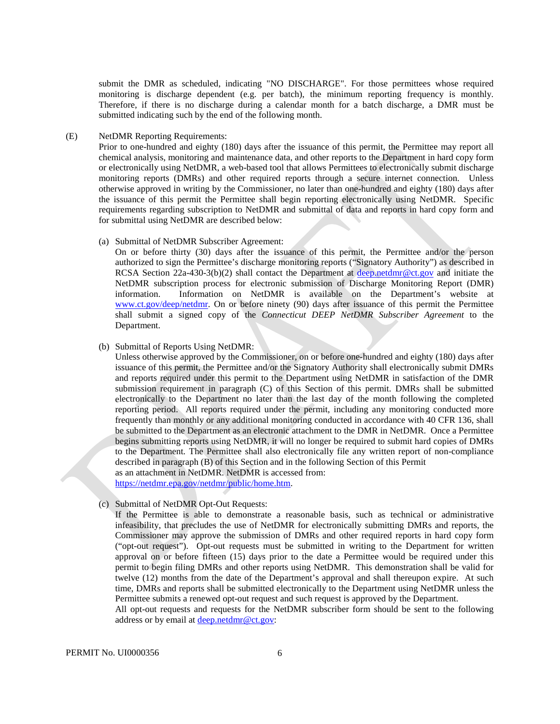monitoring is discharge dependent (e.g. per batch), the minimum reporting frequency is monthly. Therefore, if there is no discharge during a calendar month for a batch discharge, a DMR must be submit the DMR as scheduled, indicating "NO DISCHARGE". For those permittees whose required submitted indicating such by the end of the following month.

## (E) NetDMR Reporting Requirements:

Prior to one-hundred and eighty (180) days after the issuance of this permit, the Permittee may report all chemical analysis, monitoring and maintenance data, and other reports to the Department in hard copy form or electronically using NetDMR, a web-based tool that allows Permittees to electronically submit discharge monitoring reports (DMRs) and other required reports through a secure internet connection. Unless otherwise approved in writing by the Commissioner, no later than one-hundred and eighty (180) days after the issuance of this permit the Permittee shall begin reporting electronically using NetDMR. Specific requirements regarding subscription to NetDMR and submittal of data and reports in hard copy form and for submittal using NetDMR are described below:

#### (a) Submittal of NetDMR Subscriber Agreement:

On or before thirty (30) days after the issuance of this permit, the Permittee and/or the person authorized to sign the Permittee's discharge monitoring reports ("Signatory Authority") as described in RCSA Section 22a-430-3(b)(2) shall contact the Department at [deep.netdmr@ct.gov](mailto:deep.netdmr@ct.gov) and initiate the NetDMR subscription process for electronic submission of Discharge Monitoring Report (DMR) information. Information on NetDMR is available on the Department's website at [www.ct.gov/deep/netdmr.](https://www.ct.gov/deep/netdmr) On or before ninety (90) days after issuance of this permit the Permittee shall submit a signed copy of the *Connecticut DEEP NetDMR Subscriber Agreement* to the Department.

#### (b) Submittal of Reports Using NetDMR:

Unless otherwise approved by the Commissioner, on or before one-hundred and eighty (180) days after issuance of this permit, the Permittee and/or the Signatory Authority shall electronically submit DMRs and reports required under this permit to the Department using NetDMR in satisfaction of the DMR submission requirement in paragraph (C) of this Section of this permit. DMRs shall be submitted electronically to the Department no later than the last day of the month following the completed reporting period. All reports required under the permit, including any monitoring conducted more frequently than monthly or any additional monitoring conducted in accordance with 40 CFR 136, shall be submitted to the Department as an electronic attachment to the DMR in NetDMR. Once a Permittee begins submitting reports using NetDMR, it will no longer be required to submit hard copies of DMRs to the Department. The Permittee shall also electronically file any written report of non-compliance described in paragraph (B) of this Section and in the following Section of this Permit as an attachment in NetDMR. NetDMR is accessed from:

[https://netdmr.epa.gov/netdmr/public/home.htm.](https://netdmr.epa.gov/netdmr/public/home.htm)

(c) Submittal of NetDMR Opt-Out Requests:

If the Permittee is able to demonstrate a reasonable basis, such as technical or administrative infeasibility, that precludes the use of NetDMR for electronically submitting DMRs and reports, the Commissioner may approve the submission of DMRs and other required reports in hard copy form ("opt-out request"). Opt-out requests must be submitted in writing to the Department for written approval on or before fifteen (15) days prior to the date a Permittee would be required under this permit to begin filing DMRs and other reports using NetDMR. This demonstration shall be valid for twelve (12) months from the date of the Department's approval and shall thereupon expire. At such time, DMRs and reports shall be submitted electronically to the Department using NetDMR unless the Permittee submits a renewed opt-out request and such request is approved by the Department.

All opt-out requests and requests for the NetDMR subscriber form should be sent to the following address or by email at [deep.netdmr@ct.gov:](mailto:deep.netdmr@ct.gov)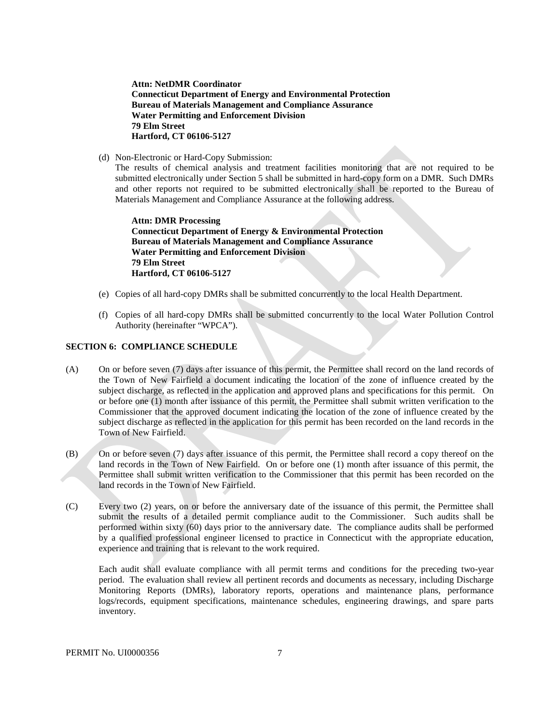**Bureau of Materials Management and Compliance Assurance Attn: NetDMR Coordinator Connecticut Department of Energy and Environmental Protection Water Permitting and Enforcement Division 79 Elm Street Hartford, CT 06106-5127** 

(d) Non-Electronic or Hard-Copy Submission:

The results of chemical analysis and treatment facilities monitoring that are not required to be submitted electronically under Section 5 shall be submitted in hard-copy form on a DMR. Such DMRs and other reports not required to be submitted electronically shall be reported to the Bureau of Materials Management and Compliance Assurance at the following address.

 **Attn: DMR Processing Connecticut Department of Energy & Environmental Protection Bureau of Materials Management and Compliance Assurance Water Permitting and Enforcement Division 79 Elm Street Hartford, CT 06106-5127** 

- (e) Copies of all hard-copy DMRs shall be submitted concurrently to the local Health Department.
- (f) Copies of all hard-copy DMRs shall be submitted concurrently to the local Water Pollution Control Authority (hereinafter "WPCA").

#### **SECTION 6: COMPLIANCE SCHEDULE**

- the Town of New Fairfield a document indicating the location of the zone of influence created by the or before one (1) month after issuance of this permit, the Permittee shall submit written verification to the  $(A)$ On or before seven (7) days after issuance of this permit, the Permittee shall record on the land records of subject discharge, as reflected in the application and approved plans and specifications for this permit. On Commissioner that the approved document indicating the location of the zone of influence created by the subject discharge as reflected in the application for this permit has been recorded on the land records in the Town of New Fairfield.
- land records in the Town of New Fairfield. On or before one (1) month after issuance of this permit, the (B) On or before seven (7) days after issuance of this permit, the Permittee shall record a copy thereof on the Permittee shall submit written verification to the Commissioner that this permit has been recorded on the land records in the Town of New Fairfield.
- experience and training that is relevant to the work required. (C) Every two (2) years, on or before the anniversary date of the issuance of this permit, the Permittee shall submit the results of a detailed permit compliance audit to the Commissioner. Such audits shall be performed within sixty (60) days prior to the anniversary date. The compliance audits shall be performed by a qualified professional engineer licensed to practice in Connecticut with the appropriate education,

 period. The evaluation shall review all pertinent records and documents as necessary, including Discharge Each audit shall evaluate compliance with all permit terms and conditions for the preceding two-year Monitoring Reports (DMRs), laboratory reports, operations and maintenance plans, performance logs/records, equipment specifications, maintenance schedules, engineering drawings, and spare parts inventory.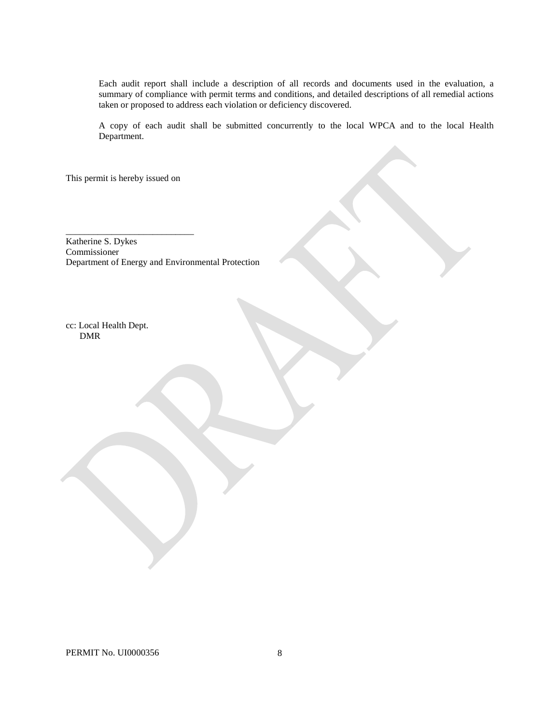Each audit report shall include a description of all records and documents used in the evaluation, a summary of compliance with permit terms and conditions, and detailed descriptions of all remedial actions taken or proposed to address each violation or deficiency discovered.

A copy of each audit shall be submitted concurrently to the local WPCA and to the local Health Department.

This permit is hereby issued on

\_\_\_\_\_\_\_\_\_\_\_\_\_\_\_\_\_\_\_\_\_\_\_\_\_\_\_\_

Katherine S. Dykes Commissioner Department of Energy and Environmental Protection

cc: Local Health Dept. DMR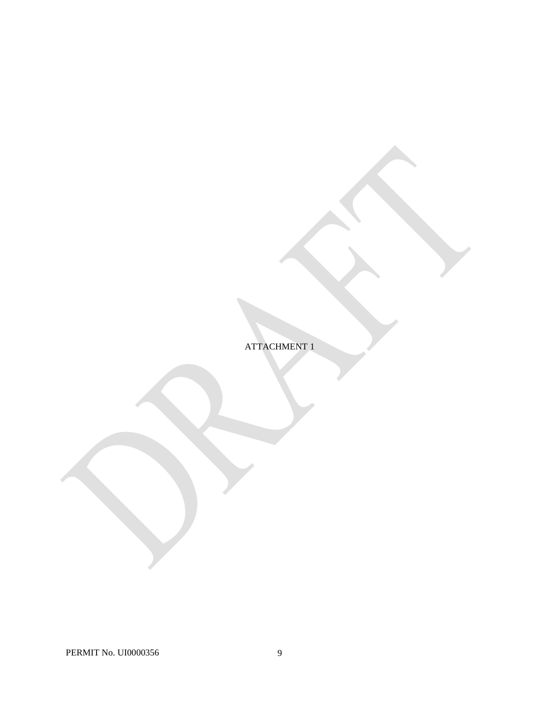ATTACHMENT 1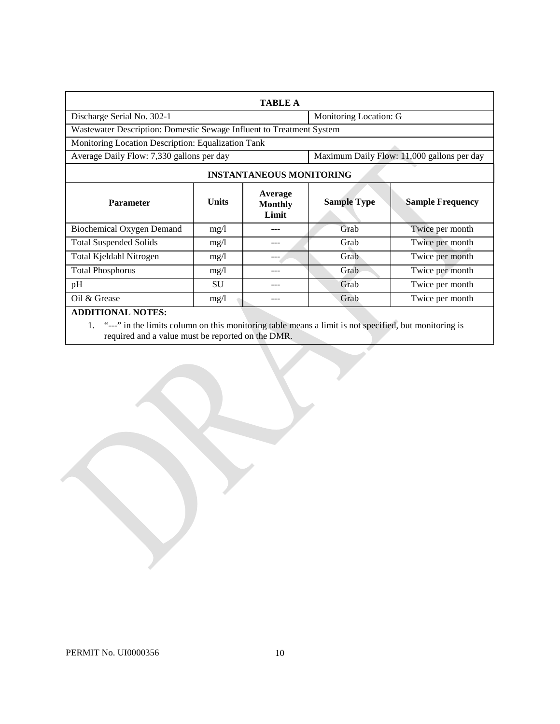| <b>TABLE A</b>                                                       |              |                                    |                                            |                         |  |
|----------------------------------------------------------------------|--------------|------------------------------------|--------------------------------------------|-------------------------|--|
| Discharge Serial No. 302-1                                           |              |                                    | Monitoring Location: G                     |                         |  |
| Wastewater Description: Domestic Sewage Influent to Treatment System |              |                                    |                                            |                         |  |
| Monitoring Location Description: Equalization Tank                   |              |                                    |                                            |                         |  |
| Average Daily Flow: 7,330 gallons per day                            |              |                                    | Maximum Daily Flow: 11,000 gallons per day |                         |  |
| <b>INSTANTANEOUS MONITORING</b>                                      |              |                                    |                                            |                         |  |
| <b>Parameter</b>                                                     | <b>Units</b> | Average<br><b>Monthly</b><br>Limit | <b>Sample Type</b>                         | <b>Sample Frequency</b> |  |
| Biochemical Oxygen Demand                                            | mg/1         |                                    | Grab                                       | Twice per month         |  |
| <b>Total Suspended Solids</b>                                        | mg/1         | --                                 | Grab                                       | Twice per month         |  |
| Total Kjeldahl Nitrogen                                              | mg/l         |                                    | Grab                                       | Twice per month         |  |
| <b>Total Phosphorus</b>                                              | mg/1         |                                    | Grab                                       | Twice per month         |  |
| pH                                                                   | <b>SU</b>    |                                    | Grab                                       | Twice per month         |  |
| Oil & Grease                                                         | mg/l         |                                    | Grab                                       | Twice per month         |  |
| <b>ADDITIONAL NOTES:</b>                                             |              |                                    |                                            |                         |  |

1. "---" in the limits column on this monitoring table means a limit is not specified, but monitoring is required and a value must be reported on the DMR.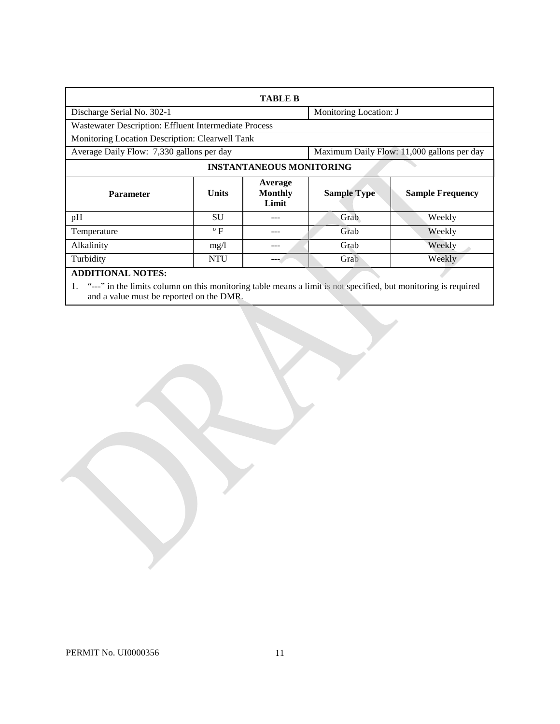| <b>TABLE B</b>                                        |              |                                    |                                            |                         |  |  |
|-------------------------------------------------------|--------------|------------------------------------|--------------------------------------------|-------------------------|--|--|
| Discharge Serial No. 302-1                            |              |                                    |                                            | Monitoring Location: J  |  |  |
| Wastewater Description: Effluent Intermediate Process |              |                                    |                                            |                         |  |  |
| Monitoring Location Description: Clearwell Tank       |              |                                    |                                            |                         |  |  |
| Average Daily Flow: 7,330 gallons per day             |              |                                    | Maximum Daily Flow: 11,000 gallons per day |                         |  |  |
| <b>INSTANTANEOUS MONITORING</b>                       |              |                                    |                                            |                         |  |  |
| <b>Parameter</b>                                      | <b>Units</b> | Average<br><b>Monthly</b><br>Limit | <b>Sample Type</b>                         | <b>Sample Frequency</b> |  |  |
| pH                                                    | <b>SU</b>    |                                    | Grab                                       | Weekly                  |  |  |
| Temperature                                           | $\rm ^o$ F   |                                    | Grab                                       | Weekly                  |  |  |
| Alkalinity                                            | mg/1         | ---                                | Grab                                       | Weekly                  |  |  |
| Turbidity                                             | <b>NTU</b>   | ---                                | Grab                                       | Weekly                  |  |  |
| <b>ADDITIONAL NOTES:</b>                              |              |                                    |                                            |                         |  |  |

1. "---" in the limits column on this monitoring table means a limit is not specified, but monitoring is required and a value must be reported on the DMR.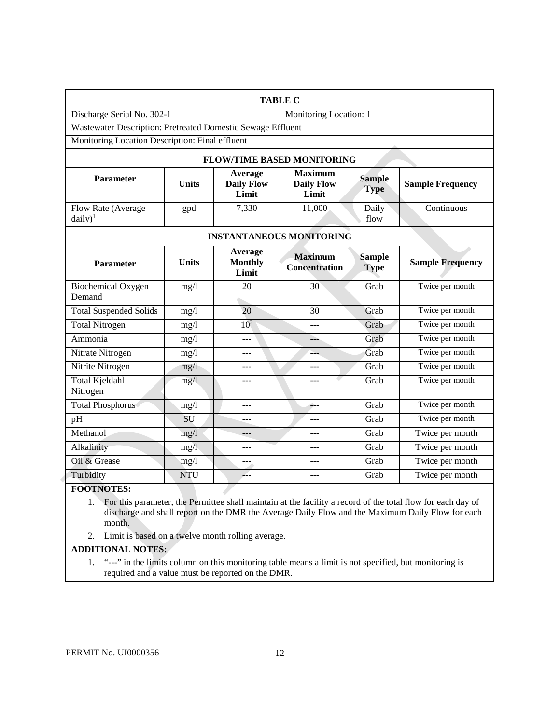|                                                             |                   |                                       | <b>TABLE C</b>                               |                              |                         |
|-------------------------------------------------------------|-------------------|---------------------------------------|----------------------------------------------|------------------------------|-------------------------|
| Discharge Serial No. 302-1                                  |                   |                                       | Monitoring Location: 1                       |                              |                         |
| Wastewater Description: Pretreated Domestic Sewage Effluent |                   |                                       |                                              |                              |                         |
| Monitoring Location Description: Final effluent             |                   |                                       |                                              |                              |                         |
|                                                             |                   |                                       | <b>FLOW/TIME BASED MONITORING</b>            |                              |                         |
| <b>Parameter</b>                                            | <b>Units</b>      | Average<br><b>Daily Flow</b><br>Limit | <b>Maximum</b><br><b>Daily Flow</b><br>Limit | <b>Sample</b><br><b>Type</b> | <b>Sample Frequency</b> |
| Flow Rate (Average<br>$daily)^1$                            | gpd               | 7,330                                 | 11,000                                       | Daily<br>flow                | Continuous              |
| <b>INSTANTANEOUS MONITORING</b>                             |                   |                                       |                                              |                              |                         |
| <b>Parameter</b>                                            | <b>Units</b>      | Average<br><b>Monthly</b><br>Limit    | <b>Maximum</b><br><b>Concentration</b>       | <b>Sample</b><br><b>Type</b> | <b>Sample Frequency</b> |
| <b>Biochemical Oxygen</b><br>Demand                         | mg/1              | 20                                    | 30                                           | Grab                         | Twice per month         |
| <b>Total Suspended Solids</b>                               | mg/l              | 20                                    | 30                                           | Grab                         | Twice per month         |
| <b>Total Nitrogen</b>                                       | mg/1              | 10 <sup>2</sup>                       |                                              | Grab                         | Twice per month         |
| Ammonia                                                     | mg/l              | ---                                   | ---                                          | Grab                         | Twice per month         |
| Nitrate Nitrogen                                            | mg/l              | ---                                   | ---                                          | Grab                         | Twice per month         |
| Nitrite Nitrogen                                            | mg/l              | ---                                   | $---$                                        | Grab                         | Twice per month         |
| Total Kjeldahl<br>Nitrogen                                  | mg/1              | ---                                   | $ -$                                         | Grab                         | Twice per month         |
| <b>Total Phosphorus</b>                                     | $mg/\overline{l}$ | ---                                   | á.,                                          | Grab                         | Twice per month         |
| pH                                                          | SU                | ---                                   | ---                                          | Grab                         | Twice per month         |
| Methanol                                                    | mg/l              |                                       |                                              | Grab                         | Twice per month         |
| Alkalinity                                                  | mg/l              | $ -$                                  | $ -$                                         | Grab                         | Twice per month         |
| Oil & Grease                                                | mg/l              | ---                                   | ---                                          | Grab                         | Twice per month         |
| Turbidity                                                   | <b>NTU</b>        | ---                                   | $- - -$                                      | Grab                         | Twice per month         |

# **FOOTNOTES:**

 discharge and shall report on the DMR the Average Daily Flow and the Maximum Daily Flow for each month. 1. For this parameter, the Permittee shall maintain at the facility a record of the total flow for each day of

2. Limit is based on a twelve month rolling average.

Z.

# **ADDITIONAL NOTES:**

1. "---" in the limits column on this monitoring table means a limit is not specified, but monitoring is required and a value must be reported on the DMR.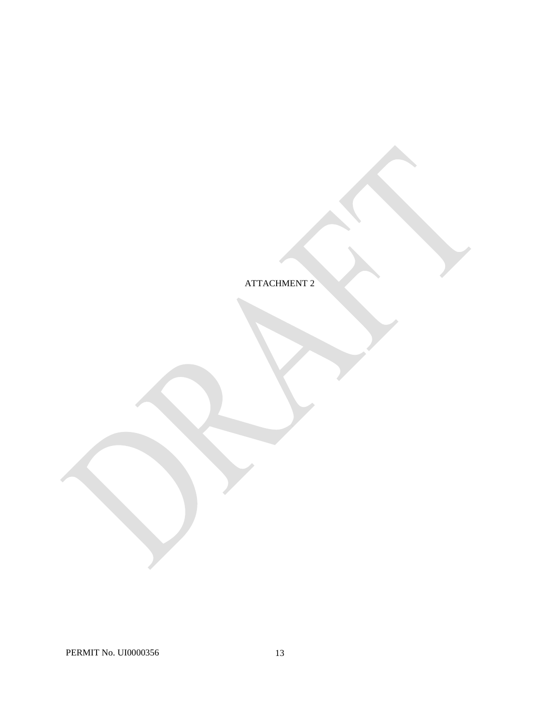ATTACHMENT 2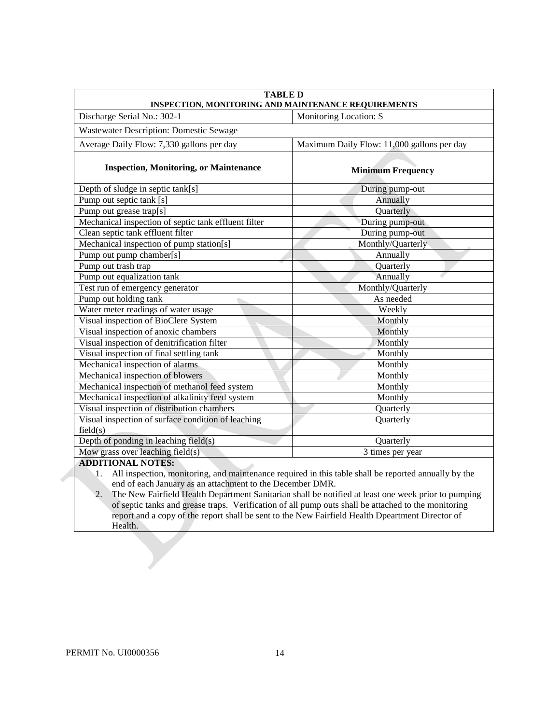| Monitoring Location: S<br>Discharge Serial No.: 302-1<br><b>Wastewater Description: Domestic Sewage</b><br>Average Daily Flow: 7,330 gallons per day<br>Maximum Daily Flow: 11,000 gallons per day<br><b>Inspection, Monitoring, or Maintenance</b><br><b>Minimum Frequency</b><br>Depth of sludge in septic tank[s]<br>During pump-out<br>Pump out septic tank [s]<br>Annually<br>Pump out grease trap[s]<br>Quarterly<br>Mechanical inspection of septic tank effluent filter<br>During pump-out<br>Clean septic tank effluent filter<br>During pump-out<br>Mechanical inspection of pump station[s]<br>Monthly/Quarterly<br>Pump out pump chamber[s]<br>Annually<br>Pump out trash trap<br>Quarterly<br>Pump out equalization tank<br>Annually<br>Test run of emergency generator<br>Monthly/Quarterly<br>Pump out holding tank<br>As needed<br>Water meter readings of water usage<br>Weekly<br>Visual inspection of BioClere System<br>Monthly<br>Visual inspection of anoxic chambers<br>Monthly<br>Visual inspection of denitrification filter<br>Monthly<br>Visual inspection of final settling tank<br>Monthly<br>Mechanical inspection of alarms<br>Monthly<br>Mechanical inspection of blowers<br>Monthly<br>Mechanical inspection of methanol feed system<br>Monthly<br>Mechanical inspection of alkalinity feed system<br>Monthly<br>Visual inspection of distribution chambers<br>Quarterly<br>Visual inspection of surface condition of leaching<br>Quarterly<br>field(s)<br>Depth of ponding in leaching field(s)<br>Quarterly<br>Mow grass over leaching field(s)<br>3 times per year | <b>TABLE D</b><br>INSPECTION, MONITORING AND MAINTENANCE REQUIREMENTS |  |  |  |  |
|--------------------------------------------------------------------------------------------------------------------------------------------------------------------------------------------------------------------------------------------------------------------------------------------------------------------------------------------------------------------------------------------------------------------------------------------------------------------------------------------------------------------------------------------------------------------------------------------------------------------------------------------------------------------------------------------------------------------------------------------------------------------------------------------------------------------------------------------------------------------------------------------------------------------------------------------------------------------------------------------------------------------------------------------------------------------------------------------------------------------------------------------------------------------------------------------------------------------------------------------------------------------------------------------------------------------------------------------------------------------------------------------------------------------------------------------------------------------------------------------------------------------------------------------------------------------------------------------------------|-----------------------------------------------------------------------|--|--|--|--|
|                                                                                                                                                                                                                                                                                                                                                                                                                                                                                                                                                                                                                                                                                                                                                                                                                                                                                                                                                                                                                                                                                                                                                                                                                                                                                                                                                                                                                                                                                                                                                                                                        |                                                                       |  |  |  |  |
|                                                                                                                                                                                                                                                                                                                                                                                                                                                                                                                                                                                                                                                                                                                                                                                                                                                                                                                                                                                                                                                                                                                                                                                                                                                                                                                                                                                                                                                                                                                                                                                                        |                                                                       |  |  |  |  |
|                                                                                                                                                                                                                                                                                                                                                                                                                                                                                                                                                                                                                                                                                                                                                                                                                                                                                                                                                                                                                                                                                                                                                                                                                                                                                                                                                                                                                                                                                                                                                                                                        |                                                                       |  |  |  |  |
|                                                                                                                                                                                                                                                                                                                                                                                                                                                                                                                                                                                                                                                                                                                                                                                                                                                                                                                                                                                                                                                                                                                                                                                                                                                                                                                                                                                                                                                                                                                                                                                                        |                                                                       |  |  |  |  |
|                                                                                                                                                                                                                                                                                                                                                                                                                                                                                                                                                                                                                                                                                                                                                                                                                                                                                                                                                                                                                                                                                                                                                                                                                                                                                                                                                                                                                                                                                                                                                                                                        |                                                                       |  |  |  |  |
|                                                                                                                                                                                                                                                                                                                                                                                                                                                                                                                                                                                                                                                                                                                                                                                                                                                                                                                                                                                                                                                                                                                                                                                                                                                                                                                                                                                                                                                                                                                                                                                                        |                                                                       |  |  |  |  |
|                                                                                                                                                                                                                                                                                                                                                                                                                                                                                                                                                                                                                                                                                                                                                                                                                                                                                                                                                                                                                                                                                                                                                                                                                                                                                                                                                                                                                                                                                                                                                                                                        |                                                                       |  |  |  |  |
|                                                                                                                                                                                                                                                                                                                                                                                                                                                                                                                                                                                                                                                                                                                                                                                                                                                                                                                                                                                                                                                                                                                                                                                                                                                                                                                                                                                                                                                                                                                                                                                                        |                                                                       |  |  |  |  |
|                                                                                                                                                                                                                                                                                                                                                                                                                                                                                                                                                                                                                                                                                                                                                                                                                                                                                                                                                                                                                                                                                                                                                                                                                                                                                                                                                                                                                                                                                                                                                                                                        |                                                                       |  |  |  |  |
|                                                                                                                                                                                                                                                                                                                                                                                                                                                                                                                                                                                                                                                                                                                                                                                                                                                                                                                                                                                                                                                                                                                                                                                                                                                                                                                                                                                                                                                                                                                                                                                                        |                                                                       |  |  |  |  |
|                                                                                                                                                                                                                                                                                                                                                                                                                                                                                                                                                                                                                                                                                                                                                                                                                                                                                                                                                                                                                                                                                                                                                                                                                                                                                                                                                                                                                                                                                                                                                                                                        |                                                                       |  |  |  |  |
|                                                                                                                                                                                                                                                                                                                                                                                                                                                                                                                                                                                                                                                                                                                                                                                                                                                                                                                                                                                                                                                                                                                                                                                                                                                                                                                                                                                                                                                                                                                                                                                                        |                                                                       |  |  |  |  |
|                                                                                                                                                                                                                                                                                                                                                                                                                                                                                                                                                                                                                                                                                                                                                                                                                                                                                                                                                                                                                                                                                                                                                                                                                                                                                                                                                                                                                                                                                                                                                                                                        |                                                                       |  |  |  |  |
|                                                                                                                                                                                                                                                                                                                                                                                                                                                                                                                                                                                                                                                                                                                                                                                                                                                                                                                                                                                                                                                                                                                                                                                                                                                                                                                                                                                                                                                                                                                                                                                                        |                                                                       |  |  |  |  |
|                                                                                                                                                                                                                                                                                                                                                                                                                                                                                                                                                                                                                                                                                                                                                                                                                                                                                                                                                                                                                                                                                                                                                                                                                                                                                                                                                                                                                                                                                                                                                                                                        |                                                                       |  |  |  |  |
|                                                                                                                                                                                                                                                                                                                                                                                                                                                                                                                                                                                                                                                                                                                                                                                                                                                                                                                                                                                                                                                                                                                                                                                                                                                                                                                                                                                                                                                                                                                                                                                                        |                                                                       |  |  |  |  |
|                                                                                                                                                                                                                                                                                                                                                                                                                                                                                                                                                                                                                                                                                                                                                                                                                                                                                                                                                                                                                                                                                                                                                                                                                                                                                                                                                                                                                                                                                                                                                                                                        |                                                                       |  |  |  |  |
|                                                                                                                                                                                                                                                                                                                                                                                                                                                                                                                                                                                                                                                                                                                                                                                                                                                                                                                                                                                                                                                                                                                                                                                                                                                                                                                                                                                                                                                                                                                                                                                                        |                                                                       |  |  |  |  |
|                                                                                                                                                                                                                                                                                                                                                                                                                                                                                                                                                                                                                                                                                                                                                                                                                                                                                                                                                                                                                                                                                                                                                                                                                                                                                                                                                                                                                                                                                                                                                                                                        |                                                                       |  |  |  |  |
|                                                                                                                                                                                                                                                                                                                                                                                                                                                                                                                                                                                                                                                                                                                                                                                                                                                                                                                                                                                                                                                                                                                                                                                                                                                                                                                                                                                                                                                                                                                                                                                                        |                                                                       |  |  |  |  |
|                                                                                                                                                                                                                                                                                                                                                                                                                                                                                                                                                                                                                                                                                                                                                                                                                                                                                                                                                                                                                                                                                                                                                                                                                                                                                                                                                                                                                                                                                                                                                                                                        |                                                                       |  |  |  |  |
|                                                                                                                                                                                                                                                                                                                                                                                                                                                                                                                                                                                                                                                                                                                                                                                                                                                                                                                                                                                                                                                                                                                                                                                                                                                                                                                                                                                                                                                                                                                                                                                                        |                                                                       |  |  |  |  |
|                                                                                                                                                                                                                                                                                                                                                                                                                                                                                                                                                                                                                                                                                                                                                                                                                                                                                                                                                                                                                                                                                                                                                                                                                                                                                                                                                                                                                                                                                                                                                                                                        |                                                                       |  |  |  |  |
|                                                                                                                                                                                                                                                                                                                                                                                                                                                                                                                                                                                                                                                                                                                                                                                                                                                                                                                                                                                                                                                                                                                                                                                                                                                                                                                                                                                                                                                                                                                                                                                                        |                                                                       |  |  |  |  |
|                                                                                                                                                                                                                                                                                                                                                                                                                                                                                                                                                                                                                                                                                                                                                                                                                                                                                                                                                                                                                                                                                                                                                                                                                                                                                                                                                                                                                                                                                                                                                                                                        |                                                                       |  |  |  |  |
|                                                                                                                                                                                                                                                                                                                                                                                                                                                                                                                                                                                                                                                                                                                                                                                                                                                                                                                                                                                                                                                                                                                                                                                                                                                                                                                                                                                                                                                                                                                                                                                                        |                                                                       |  |  |  |  |
|                                                                                                                                                                                                                                                                                                                                                                                                                                                                                                                                                                                                                                                                                                                                                                                                                                                                                                                                                                                                                                                                                                                                                                                                                                                                                                                                                                                                                                                                                                                                                                                                        |                                                                       |  |  |  |  |
|                                                                                                                                                                                                                                                                                                                                                                                                                                                                                                                                                                                                                                                                                                                                                                                                                                                                                                                                                                                                                                                                                                                                                                                                                                                                                                                                                                                                                                                                                                                                                                                                        |                                                                       |  |  |  |  |
|                                                                                                                                                                                                                                                                                                                                                                                                                                                                                                                                                                                                                                                                                                                                                                                                                                                                                                                                                                                                                                                                                                                                                                                                                                                                                                                                                                                                                                                                                                                                                                                                        | <b>ADDITIONAL NOTES:</b>                                              |  |  |  |  |

1. All inspection, monitoring, and maintenance required in this table shall be reported annually by the end of each January as an attachment to the December DMR.

 of septic tanks and grease traps. Verification of all pump outs shall be attached to the monitoring 2. The New Fairfield Health Department Sanitarian shall be notified at least one week prior to pumping report and a copy of the report shall be sent to the New Fairfield Health Dpeartment Director of Health.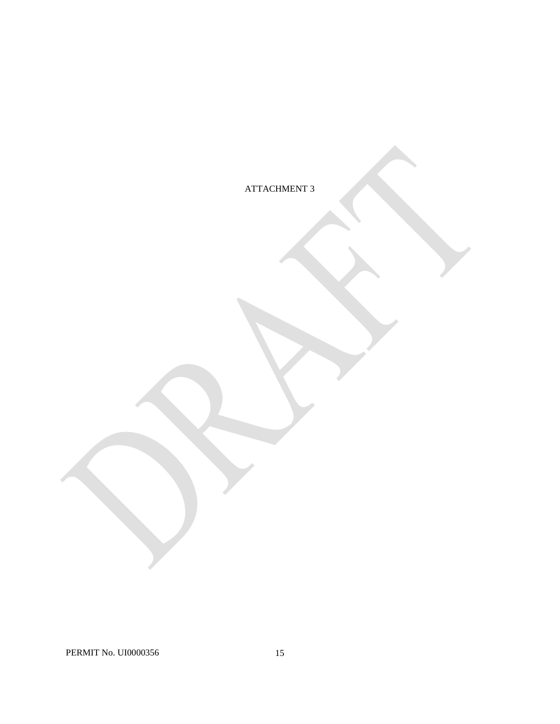ATTACHMENT 3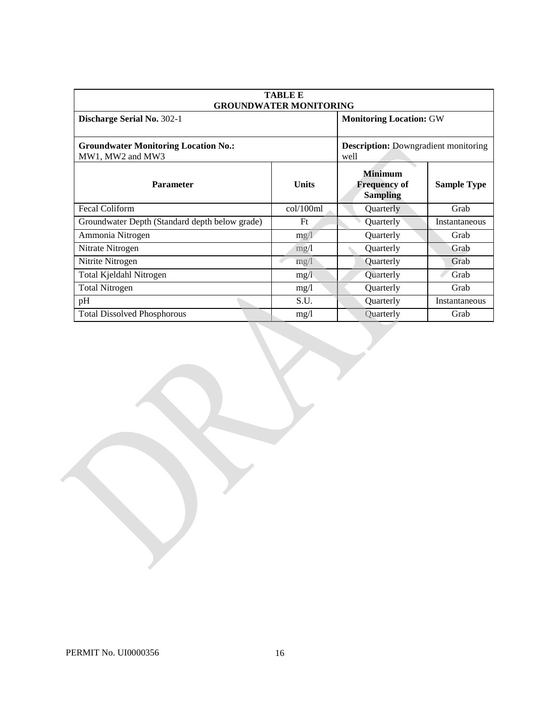| <b>TABLE E</b><br><b>GROUNDWATER MONITORING</b>                 |              |                                                          |                    |  |
|-----------------------------------------------------------------|--------------|----------------------------------------------------------|--------------------|--|
| Discharge Serial No. 302-1                                      |              | <b>Monitoring Location: GW</b>                           |                    |  |
| <b>Groundwater Monitoring Location No.:</b><br>MW1, MW2 and MW3 |              | <b>Description:</b> Downgradient monitoring<br>well      |                    |  |
| <b>Parameter</b>                                                | <b>Units</b> | <b>Minimum</b><br><b>Frequency of</b><br><b>Sampling</b> | <b>Sample Type</b> |  |
| <b>Fecal Coliform</b>                                           | col/100ml    | Quarterly                                                | Grab               |  |
| Groundwater Depth (Standard depth below grade)                  | Ft           | Quarterly                                                | Instantaneous      |  |
| Ammonia Nitrogen                                                | mg/1         | Quarterly                                                | Grab               |  |
| Nitrate Nitrogen                                                | mg/1         | Quarterly                                                | Grab               |  |
| Nitrite Nitrogen                                                | mg/l         | Quarterly                                                | Grab               |  |
| Total Kjeldahl Nitrogen                                         | mg/l         | Quarterly                                                | Grab               |  |
| <b>Total Nitrogen</b>                                           | mg/1         | Quarterly                                                | Grab               |  |
| pH                                                              | S.U.         | Quarterly                                                | Instantaneous      |  |
| <b>Total Dissolved Phosphorous</b>                              | mg/1         | Quarterly                                                | Grab               |  |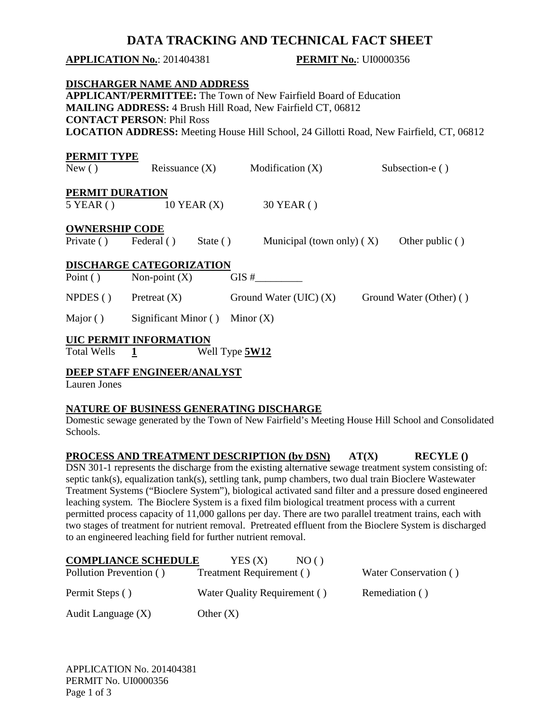# **DATA TRACKING AND TECHNICAL FACT SHEET**

# **APPLICATION No.**: 201404381 **PERMIT No.**: UI0000356

|                       | <b>DISCHARGER NAME AND ADDRESS</b> |                |                                                                                                |                         |
|-----------------------|------------------------------------|----------------|------------------------------------------------------------------------------------------------|-------------------------|
|                       |                                    |                | <b>APPLICANT/PERMITTEE:</b> The Town of New Fairfield Board of Education                       |                         |
|                       |                                    |                | <b>MAILING ADDRESS: 4 Brush Hill Road, New Fairfield CT, 06812</b>                             |                         |
|                       | <b>CONTACT PERSON: Phil Ross</b>   |                |                                                                                                |                         |
|                       |                                    |                | <b>LOCATION ADDRESS:</b> Meeting House Hill School, 24 Gillotti Road, New Fairfield, CT, 06812 |                         |
|                       |                                    |                |                                                                                                |                         |
| PERMIT TYPE           |                                    |                |                                                                                                |                         |
| New()                 | Reissuance $(X)$                   |                | Modification (X)                                                                               | Subsection-e ()         |
|                       |                                    |                |                                                                                                |                         |
| PERMIT DURATION       |                                    |                |                                                                                                |                         |
| $5$ YEAR ( )          | $10$ YEAR $(X)$                    |                | 30 YEAR ()                                                                                     |                         |
| <b>OWNERSHIP CODE</b> |                                    |                |                                                                                                |                         |
| Private $( )$         | Federal ()                         | State $( )$    | Municipal (town only) $(X)$                                                                    | Other public ()         |
|                       |                                    |                |                                                                                                |                         |
|                       | <b>DISCHARGE CATEGORIZATION</b>    |                |                                                                                                |                         |
| Point $()$            | Non-point $(X)$                    |                | GIS#                                                                                           |                         |
| NPDES( )              | Pretreat $(X)$                     |                | Ground Water (UIC) $(X)$                                                                       | Ground Water (Other) () |
|                       |                                    |                |                                                                                                |                         |
| Major ()              | Significant Minor $()$ Minor $(X)$ |                |                                                                                                |                         |
|                       | UIC PERMIT INFORMATION             |                |                                                                                                |                         |
| <b>Total Wells</b>    | $\mathbf{1}$                       | Well Type 5W12 |                                                                                                |                         |

# **DEEP STAFF ENGINEER/ANALYST**

Lauren Jones

# **NATURE OF BUSINESS GENERATING DISCHARGE**

Domestic sewage generated by the Town of New Fairfield's Meeting House Hill School and Consolidated Schools.

# **PROCESS AND TREATMENT DESCRIPTION (by DSN)** AT(X) RECYLE ()

 Treatment Systems ("Bioclere System"), biological activated sand filter and a pressure dosed engineered leaching system. The Bioclere System is a fixed film biological treatment process with a current permitted process capacity of 11,000 gallons per day. There are two parallel treatment trains, each with to an engineered leaching field for further nutrient removal. DSN 301-1 represents the discharge from the existing alternative sewage treatment system consisting of: septic tank(s), equalization tank(s), settling tank, pump chambers, two dual train Bioclere Wastewater two stages of treatment for nutrient removal. Pretreated effluent from the Bioclere System is discharged

| <b>COMPLIANCE SCHEDULE</b> | YES(X)<br>NO()               |                       |
|----------------------------|------------------------------|-----------------------|
| Pollution Prevention ()    | Treatment Requirement ()     | Water Conservation () |
| Permit Steps ()            | Water Quality Requirement () | Remediation ()        |
| Audit Language (X)         | Other $(X)$                  |                       |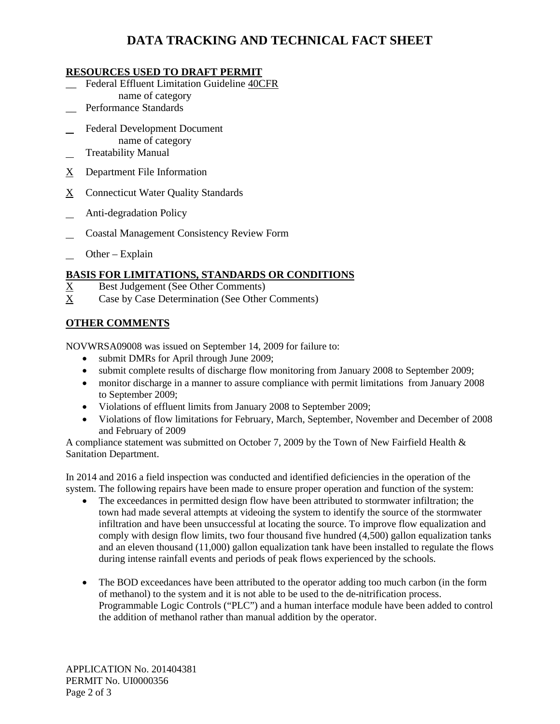# **DATA TRACKING AND TECHNICAL FACT SHEET**

# **RESOURCES USED TO DRAFT PERMIT**

- \_\_ Federal Effluent Limitation Guideline 40CFR name of category
- Performance Standards
- l Federal Development Document name of category
- $\overline{a}$ Treatability Manual
- X Department File Information
- X Connecticut Water Quality Standards
- l Anti-degradation Policy
- $\overline{a}$ Coastal Management Consistency Review Form
- $\mathbb{R}$ Other – Explain

# **BASIS FOR LIMITATIONS, STANDARDS OR CONDITIONS**

- $X$  Best Judgement (See Other Comments)
- $\mathbf{X}$ Case by Case Determination (See Other Comments)

# **OTHER COMMENTS**

NOVWRSA09008 was issued on September 14, 2009 for failure to:

- submit DMRs for April through June 2009;
- submit complete results of discharge flow monitoring from January 2008 to September 2009;
- • monitor discharge in a manner to assure compliance with permit limitations from January 2008 to September 2009;
- Violations of effluent limits from January 2008 to September 2009;
- Violations of flow limitations for February, March, September, November and December of 2008 and February of 2009

A compliance statement was submitted on October 7, 2009 by the Town of New Fairfield Health & Sanitation Department.

 In 2014 and 2016 a field inspection was conducted and identified deficiencies in the operation of the system. The following repairs have been made to ensure proper operation and function of the system:

- and an eleven thousand (11,000) gallon equalization tank have been installed to regulate the flows during intense rainfall events and periods of peak flows experienced by the schools. • The exceedances in permitted design flow have been attributed to stormwater infiltration; the town had made several attempts at videoing the system to identify the source of the stormwater infiltration and have been unsuccessful at locating the source. To improve flow equalization and comply with design flow limits, two four thousand five hundred (4,500) gallon equalization tanks
- • The BOD exceedances have been attributed to the operator adding too much carbon (in the form the addition of methanol rather than manual addition by the operator. of methanol) to the system and it is not able to be used to the de-nitrification process. Programmable Logic Controls ("PLC") and a human interface module have been added to control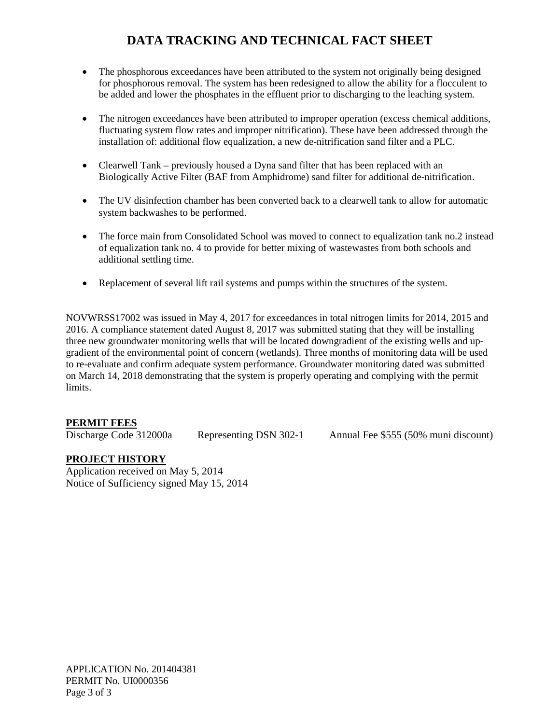# **DATA TRACKING AND TECHNICAL FACT SHEET**

- The phosphorous exceedances have been attributed to the system not originally being designed for phosphorous removal. The system has been redesigned to allow the ability for a flocculent to be added and lower the phosphates in the effluent prior to discharging to the leaching system.
- fluctuating system flow rates and improper nitrification). These have been addressed through the • The nitrogen exceedances have been attributed to improper operation (excess chemical additions, installation of: additional flow equalization, a new de-nitrification sand filter and a PLC.
- Biologically Active Filter (BAF from Amphidrome) sand filter for additional de-nitrification. • Clearwell Tank – previously housed a Dyna sand filter that has been replaced with an
- • The UV disinfection chamber has been converted back to a clearwell tank to allow for automatic system backwashes to be performed.
- of equalization tank no. 4 to provide for better mixing of wastewastes from both schools and • The force main from Consolidated School was moved to connect to equalization tank no.2 instead additional settling time.
- Replacement of several lift rail systems and pumps within the structures of the system.

 2016. A compliance statement dated August 8, 2017 was submitted stating that they will be installing gradient of the environmental point of concern (wetlands). Three months of monitoring data will be used on March 14, 2018 demonstrating that the system is properly operating and complying with the permit NOVWRSS17002 was issued in May 4, 2017 for exceedances in total nitrogen limits for 2014, 2015 and three new groundwater monitoring wells that will be located downgradient of the existing wells and upto re-evaluate and confirm adequate system performance. Groundwater monitoring dated was submitted limits.

# **PERMIT FEES**

Discharge Code 312000a

Representing DSN 302-1 Annual Fee \$555 (50% muni discount)

# **PROJECT HISTORY**

Application received on May 5, 2014 Notice of Sufficiency signed May 15, 2014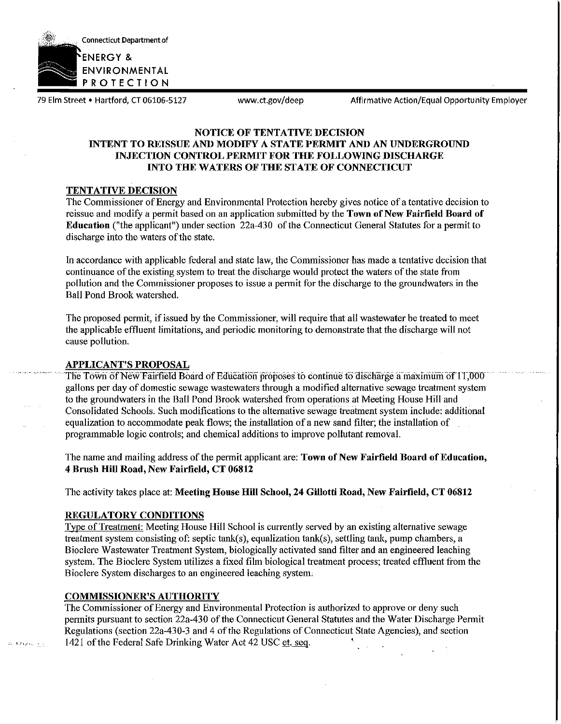

79 Elm Street • Hartford, CT 06106-5127 <www.ct.gov/deep> Affirmative Action/Equal Opportunity Employer

# **NOTICE OF TENTATIVE DECISION INTENT TO REISSUE AND MODIFY A STATE PERMIT AND AN UNDERGROUND INJECTION CONTROL PERMIT FOR THE FOLLOWING DISCHARGE INTO THE WATERS OF THE STATE OF CONNECTICUT**

## **TENTATIVE DECISION**

The Commissioner of Energy and Environmental Protection hereby gives notice of a tentative decision to reissue and modify a permit based on an application submitted by tbe **Town of New Fairfield Board of Education** ("the applicant") under section 22a-430 of the Connecticut General Statutes for a permit to discharge into the waters of the state.

In accordance witb applicable federal and state law, the Commissioner has made a tentative decision that continuance of the existing system to treat the discharge would protect the waters of the state from pollution and the Commissioner proposes to issue a permit for the discharge to the groundwaters in the Ball Pond Brook watershed.

The proposed permit, if issued by the Commissioner, will require that all wastewater be treated to meet the applicable effluent limitations, and periodic monitoring to demonstrate that the discharge will not cause pollution.

## **APPLICANT'S PROPOSAL**

The Town of New Fairfield Board of Education proposes to continue to discharge a maximum of 11,000 gallons per day of domestic sewage wastewaters through a modified alternative sewage treatment system to the groundwaters in the Ball Pond Brook watershed from operations at Meeting House **Hill** and Consolidated Schools. Such modifications to the alternative sewage treatment system include: additional equalization to accommodate peak flows; the installation of a new sand filter; the installation of programmable logic controls; and chemical additions to improve pollutant removal.

The name and mailing address of the permit applicant are: **Town of New Fairfield Board of Education, 4 Brush Hill Road, New Fairfield, CT 06812** 

The activity takes place at: **Meeting House Hill School, 24 Gillotti Road, New Fairfield, CT 06812** 

# **REGULATORY CONDITIONS**

Type of Treatment: Meeting House **Hill** School is currently served by an existing alternative sewage treatment system consisting of: septic tank(s), equalization tank(s), settling tank, pump chambers, a Bioclere Wastewater Treatment System, biologically activated sand filter and an engineered leaching system. The Bioclere System utilizes a fixed film biological treatment process; treated effluent from the Bioclere System discharges to an engineered leaching system,

# **COMMISSIONER'S AUTHORITY**

The Commissioner of Energy and Environmental Protection is authorized to approve or deny such permits pursuant to section 22a-430 of the Connecticut General Statutes and tbe Water Discharge Permit Regulations (section 22a-430-3 and 4 of the Regulations of Connecticut State Agencies), and section 1421 of the Federal Safe Drinking Water Act 42 USC et. seq.

وأواليجيرول الأ